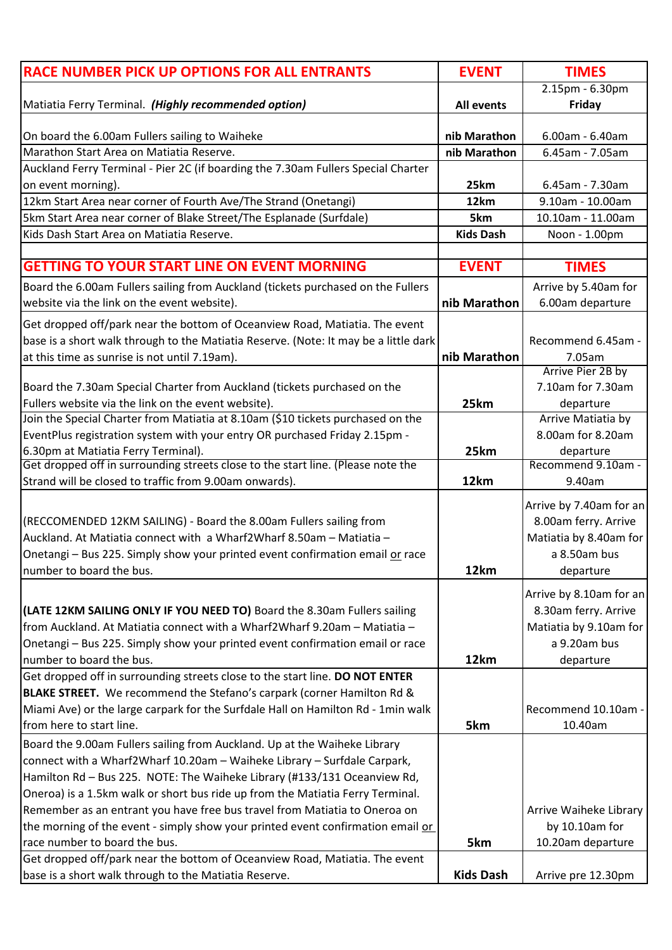| <b>RACE NUMBER PICK UP OPTIONS FOR ALL ENTRANTS</b>                                  | <b>EVENT</b>      | <b>TIMES</b>            |
|--------------------------------------------------------------------------------------|-------------------|-------------------------|
|                                                                                      |                   | 2.15pm - 6.30pm         |
| Matiatia Ferry Terminal. (Highly recommended option)                                 | <b>All events</b> | Friday                  |
| On board the 6.00am Fullers sailing to Waiheke                                       | nib Marathon      | 6.00am - 6.40am         |
| Marathon Start Area on Matiatia Reserve.                                             | nib Marathon      | 6.45am - 7.05am         |
|                                                                                      |                   |                         |
| Auckland Ferry Terminal - Pier 2C (if boarding the 7.30am Fullers Special Charter    |                   |                         |
| on event morning).                                                                   | 25km              | 6.45am - 7.30am         |
| 12km Start Area near corner of Fourth Ave/The Strand (Onetangi)                      | 12km              | 9.10am - 10.00am        |
| 5km Start Area near corner of Blake Street/The Esplanade (Surfdale)                  | 5km               | 10.10am - 11.00am       |
| Kids Dash Start Area on Matiatia Reserve.                                            | <b>Kids Dash</b>  | Noon - 1.00pm           |
|                                                                                      |                   |                         |
| <b>GETTING TO YOUR START LINE ON EVENT MORNING</b>                                   | <b>EVENT</b>      | <b>TIMES</b>            |
| Board the 6.00am Fullers sailing from Auckland (tickets purchased on the Fullers     |                   | Arrive by 5.40am for    |
| website via the link on the event website).                                          | nib Marathon      | 6.00am departure        |
| Get dropped off/park near the bottom of Oceanview Road, Matiatia. The event          |                   |                         |
| base is a short walk through to the Matiatia Reserve. (Note: It may be a little dark |                   | Recommend 6.45am -      |
| at this time as sunrise is not until 7.19am).                                        | nib Marathon      | 7.05am                  |
|                                                                                      |                   | Arrive Pier 2B by       |
| Board the 7.30am Special Charter from Auckland (tickets purchased on the             |                   | 7.10am for 7.30am       |
| Fullers website via the link on the event website).                                  | 25km              | departure               |
| Join the Special Charter from Matiatia at 8.10am (\$10 tickets purchased on the      |                   | Arrive Matiatia by      |
| EventPlus registration system with your entry OR purchased Friday 2.15pm -           |                   | 8.00am for 8.20am       |
| 6.30pm at Matiatia Ferry Terminal).                                                  | 25km              | departure               |
| Get dropped off in surrounding streets close to the start line. (Please note the     |                   | Recommend 9.10am -      |
| Strand will be closed to traffic from 9.00am onwards).                               | 12km              | 9.40am                  |
|                                                                                      |                   |                         |
|                                                                                      |                   | Arrive by 7.40am for an |
| (RECCOMENDED 12KM SAILING) - Board the 8.00am Fullers sailing from                   |                   | 8.00am ferry. Arrive    |
| Auckland. At Matiatia connect with a Wharf2Wharf 8.50am - Matiatia -                 |                   | Matiatia by 8.40am for  |
| Onetangi - Bus 225. Simply show your printed event confirmation email or race        |                   | a 8.50am bus            |
| Inumber to board the bus.                                                            | 12km              | departure               |
|                                                                                      |                   |                         |
|                                                                                      |                   | Arrive by 8.10am for an |
| (LATE 12KM SAILING ONLY IF YOU NEED TO) Board the 8.30am Fullers sailing             |                   | 8.30am ferry. Arrive    |
| from Auckland. At Matiatia connect with a Wharf2Wharf 9.20am - Matiatia -            |                   | Matiatia by 9.10am for  |
| Onetangi - Bus 225. Simply show your printed event confirmation email or race        |                   | a 9.20am bus            |
| number to board the bus.                                                             | 12km              | departure               |
| Get dropped off in surrounding streets close to the start line. DO NOT ENTER         |                   |                         |
| BLAKE STREET. We recommend the Stefano's carpark (corner Hamilton Rd &               |                   |                         |
| Miami Ave) or the large carpark for the Surfdale Hall on Hamilton Rd - 1min walk     |                   | Recommend 10.10am -     |
| from here to start line.                                                             | 5km               | 10.40am                 |
| Board the 9.00am Fullers sailing from Auckland. Up at the Waiheke Library            |                   |                         |
| connect with a Wharf2Wharf 10.20am - Waiheke Library - Surfdale Carpark,             |                   |                         |
| Hamilton Rd - Bus 225. NOTE: The Waiheke Library (#133/131 Oceanview Rd,             |                   |                         |
| Oneroa) is a 1.5km walk or short bus ride up from the Matiatia Ferry Terminal.       |                   |                         |
| Remember as an entrant you have free bus travel from Matiatia to Oneroa on           |                   | Arrive Waiheke Library  |
| the morning of the event - simply show your printed event confirmation email or      |                   | by 10.10am for          |
| race number to board the bus.                                                        | 5km               | 10.20am departure       |
| Get dropped off/park near the bottom of Oceanview Road, Matiatia. The event          |                   |                         |
| base is a short walk through to the Matiatia Reserve.                                | <b>Kids Dash</b>  | Arrive pre 12.30pm      |